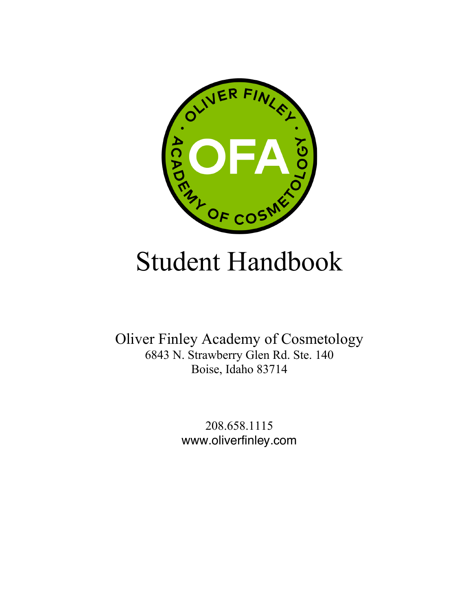

# Student Handbook

Oliver Finley Academy of Cosmetology 6843 N. Strawberry Glen Rd. Ste. 140 Boise, Idaho 83714

> 208.658.1115 www.oliverfinley.com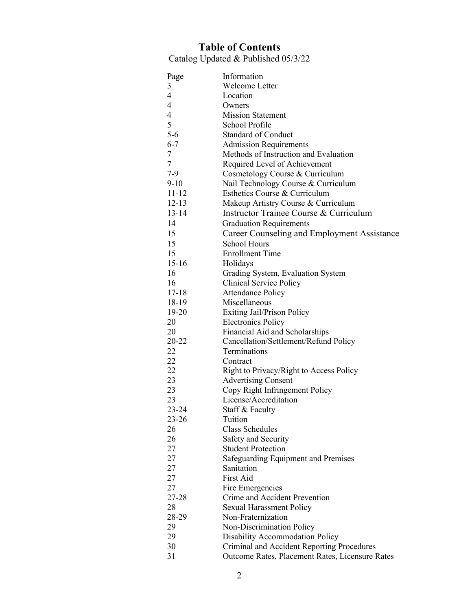## **Table of Contents**

Catalog Updated & Published 05/3/22

| Page                     | Information                                     |
|--------------------------|-------------------------------------------------|
| 3                        | Welcome Letter                                  |
| $\overline{\mathcal{A}}$ | Location                                        |
| $\overline{4}$           | Owners                                          |
| $\overline{4}$           | <b>Mission Statement</b>                        |
| 5                        | School Profile                                  |
| $5 - 6$                  | <b>Standard of Conduct</b>                      |
| $6 - 7$                  | <b>Admission Requirements</b>                   |
| 7                        | Methods of Instruction and Evaluation           |
| $\tau$                   | Required Level of Achievement                   |
| $7-9$                    | Cosmetology Course & Curriculum                 |
| $9-10$                   | Nail Technology Course & Curriculum             |
| $11 - 12$                | Esthetics Course & Curriculum                   |
| $12 - 13$                | Makeup Artistry Course & Curriculum             |
| 13-14                    | Instructor Trainee Course & Curriculum          |
| 14                       | <b>Graduation Requirements</b>                  |
| 15                       | Career Counseling and Employment Assistance     |
| 15                       | <b>School Hours</b>                             |
| 15                       | <b>Enrollment Time</b>                          |
| $15 - 16$                | Holidays                                        |
| 16                       | Grading System, Evaluation System               |
| 16                       | Clinical Service Policy                         |
| $17 - 18$                | <b>Attendance Policy</b>                        |
| 18-19                    | Miscellaneous                                   |
| 19-20                    | Exiting Jail/Prison Policy                      |
| 20                       |                                                 |
| 20                       | <b>Electronics Policy</b>                       |
|                          | Financial Aid and Scholarships                  |
| 20-22                    | Cancellation/Settlement/Refund Policy           |
| 22                       | Terminations                                    |
| 22                       | Contract                                        |
| 22                       | Right to Privacy/Right to Access Policy         |
| 23                       | <b>Advertising Consent</b>                      |
| 23                       | Copy Right Infringement Policy                  |
| 23                       | License/Accreditation                           |
| 23-24                    | Staff & Faculty                                 |
| $23 - 26$                | Tuition                                         |
| 26                       | <b>Class Schedules</b>                          |
| 26                       | Safety and Security                             |
| 27                       | <b>Student Protection</b>                       |
| 27                       | <b>Safeguarding Equipment and Premises</b>      |
| 27                       | Sanitation                                      |
| 27                       | First Aid                                       |
| 27                       | Fire Emergencies                                |
| 27-28                    | Crime and Accident Prevention                   |
| 28                       | <b>Sexual Harassment Policy</b>                 |
| 28-29                    | Non-Fraternization                              |
| 29                       | Non-Discrimination Policy                       |
| 29                       | Disability Accommodation Policy                 |
| 30                       | Criminal and Accident Reporting Procedures      |
| 31                       | Outcome Rates, Placement Rates, Licensure Rates |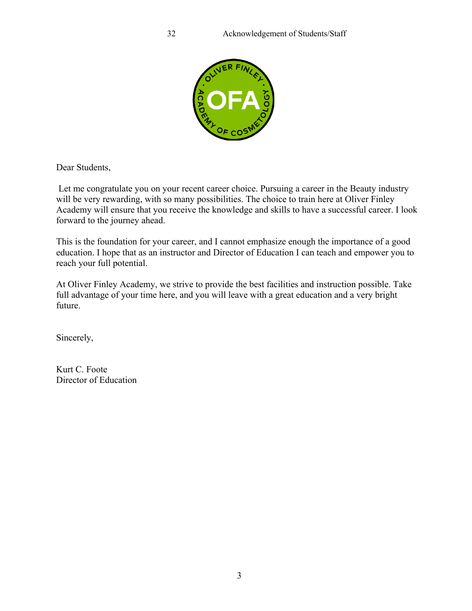

Dear Students,

Let me congratulate you on your recent career choice. Pursuing a career in the Beauty industry will be very rewarding, with so many possibilities. The choice to train here at Oliver Finley Academy will ensure that you receive the knowledge and skills to have a successful career. I look forward to the journey ahead.

This is the foundation for your career, and I cannot emphasize enough the importance of a good education. I hope that as an instructor and Director of Education I can teach and empower you to reach your full potential.

At Oliver Finley Academy, we strive to provide the best facilities and instruction possible. Take full advantage of your time here, and you will leave with a great education and a very bright future.

Sincerely,

Kurt C. Foote Director of Education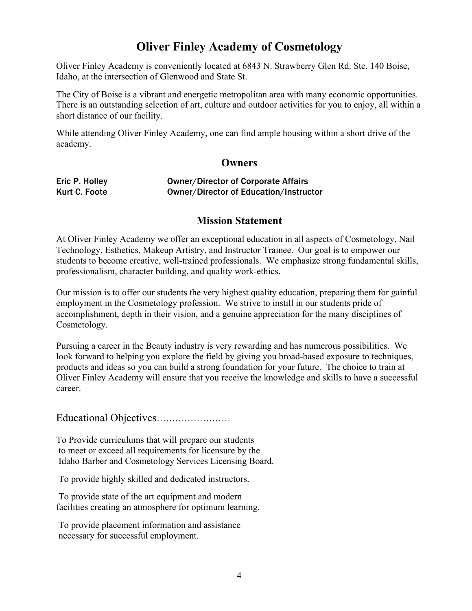# **Oliver Finley Academy of Cosmetology**

Oliver Finley Academy is conveniently located at 6843 N. Strawberry Glen Rd. Ste. 140 Boise, Idaho, at the intersection of Glenwood and State St.

The City of Boise is a vibrant and energetic metropolitan area with many economic opportunities. There is an outstanding selection of art, culture and outdoor activities for you to enjoy, all within a short distance of our facility.

While attending Oliver Finley Academy, one can find ample housing within a short drive of the academy.

## **Owners**

| Eric P. Holley | <b>Owner/Director of Corporate Affairs</b>    |
|----------------|-----------------------------------------------|
| Kurt C. Foote  | <b>Owner/Director of Education/Instructor</b> |

#### **Mission Statement**

At Oliver Finley Academy we offer an exceptional education in all aspects of Cosmetology, Nail Technology, Esthetics, Makeup Artistry, and Instructor Trainee. Our goal is to empower our students to become creative, well-trained professionals. We emphasize strong fundamental skills, professionalism, character building, and quality work-ethics.

Our mission is to offer our students the very highest quality education, preparing them for gainful employment in the Cosmetology profession. We strive to instill in our students pride of accomplishment, depth in their vision, and a genuine appreciation for the many disciplines of Cosmetology.

Pursuing a career in the Beauty industry is very rewarding and has numerous possibilities. We look forward to helping you explore the field by giving you broad-based exposure to techniques, products and ideas so you can build a strong foundation for your future. The choice to train at Oliver Finley Academy will ensure that you receive the knowledge and skills to have a successful career.

Educational Objectives……………………

To Provide curriculums that will prepare our students to meet or exceed all requirements for licensure by the Idaho Barber and Cosmetology Services Licensing Board.

To provide highly skilled and dedicated instructors.

To provide state of the art equipment and modern facilities creating an atmosphere for optimum learning.

To provide placement information and assistance necessary for successful employment.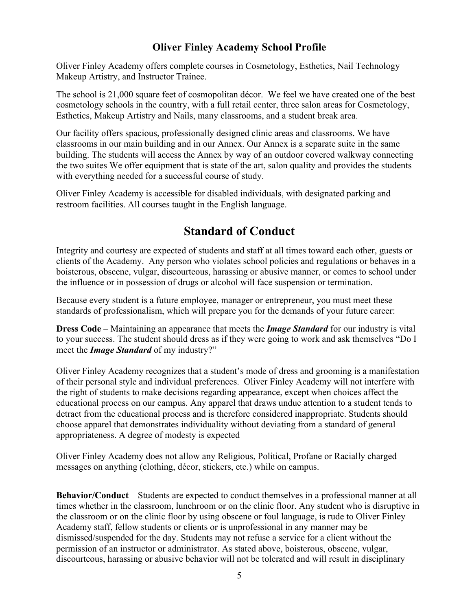# **Oliver Finley Academy School Profile**

Oliver Finley Academy offers complete courses in Cosmetology, Esthetics, Nail Technology Makeup Artistry, and Instructor Trainee.

The school is 21,000 square feet of cosmopolitan décor. We feel we have created one of the best cosmetology schools in the country, with a full retail center, three salon areas for Cosmetology, Esthetics, Makeup Artistry and Nails, many classrooms, and a student break area.

Our facility offers spacious, professionally designed clinic areas and classrooms. We have classrooms in our main building and in our Annex. Our Annex is a separate suite in the same building. The students will access the Annex by way of an outdoor covered walkway connecting the two suites We offer equipment that is state of the art, salon quality and provides the students with everything needed for a successful course of study.

Oliver Finley Academy is accessible for disabled individuals, with designated parking and restroom facilities. All courses taught in the English language.

# **Standard of Conduct**

Integrity and courtesy are expected of students and staff at all times toward each other, guests or clients of the Academy. Any person who violates school policies and regulations or behaves in a boisterous, obscene, vulgar, discourteous, harassing or abusive manner, or comes to school under the influence or in possession of drugs or alcohol will face suspension or termination.

Because every student is a future employee, manager or entrepreneur, you must meet these standards of professionalism, which will prepare you for the demands of your future career:

**Dress Code** – Maintaining an appearance that meets the *Image Standard* for our industry is vital to your success. The student should dress as if they were going to work and ask themselves "Do I meet the *Image Standard* of my industry?"

Oliver Finley Academy recognizes that a student's mode of dress and grooming is a manifestation of their personal style and individual preferences. Oliver Finley Academy will not interfere with the right of students to make decisions regarding appearance, except when choices affect the educational process on our campus. Any apparel that draws undue attention to a student tends to detract from the educational process and is therefore considered inappropriate. Students should choose apparel that demonstrates individuality without deviating from a standard of general appropriateness. A degree of modesty is expected

Oliver Finley Academy does not allow any Religious, Political, Profane or Racially charged messages on anything (clothing, décor, stickers, etc.) while on campus.

**Behavior/Conduct** – Students are expected to conduct themselves in a professional manner at all times whether in the classroom, lunchroom or on the clinic floor. Any student who is disruptive in the classroom or on the clinic floor by using obscene or foul language, is rude to Oliver Finley Academy staff, fellow students or clients or is unprofessional in any manner may be dismissed/suspended for the day. Students may not refuse a service for a client without the permission of an instructor or administrator. As stated above, boisterous, obscene, vulgar, discourteous, harassing or abusive behavior will not be tolerated and will result in disciplinary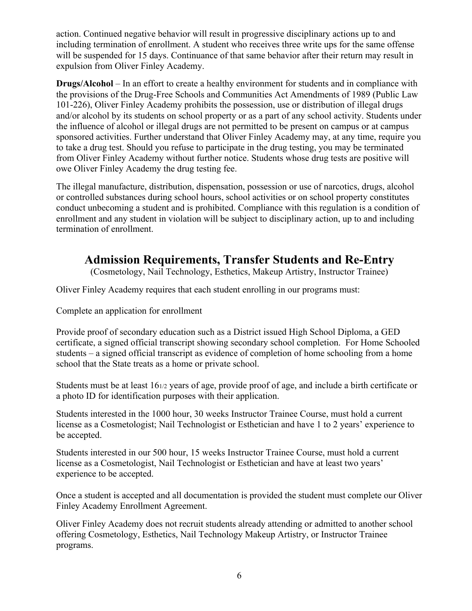action. Continued negative behavior will result in progressive disciplinary actions up to and including termination of enrollment. A student who receives three write ups for the same offense will be suspended for 15 days. Continuance of that same behavior after their return may result in expulsion from Oliver Finley Academy.

**Drugs/Alcohol** – In an effort to create a healthy environment for students and in compliance with the provisions of the Drug-Free Schools and Communities Act Amendments of 1989 (Public Law 101-226), Oliver Finley Academy prohibits the possession, use or distribution of illegal drugs and/or alcohol by its students on school property or as a part of any school activity. Students under the influence of alcohol or illegal drugs are not permitted to be present on campus or at campus sponsored activities. Further understand that Oliver Finley Academy may, at any time, require you to take a drug test. Should you refuse to participate in the drug testing, you may be terminated from Oliver Finley Academy without further notice. Students whose drug tests are positive will owe Oliver Finley Academy the drug testing fee.

The illegal manufacture, distribution, dispensation, possession or use of narcotics, drugs, alcohol or controlled substances during school hours, school activities or on school property constitutes conduct unbecoming a student and is prohibited. Compliance with this regulation is a condition of enrollment and any student in violation will be subject to disciplinary action, up to and including termination of enrollment.

# **Admission Requirements, Transfer Students and Re-Entry**

(Cosmetology, Nail Technology, Esthetics, Makeup Artistry, Instructor Trainee)

Oliver Finley Academy requires that each student enrolling in our programs must:

Complete an application for enrollment

Provide proof of secondary education such as a District issued High School Diploma, a GED certificate, a signed official transcript showing secondary school completion. For Home Schooled students – a signed official transcript as evidence of completion of home schooling from a home school that the State treats as a home or private school.

Students must be at least 161/2 years of age, provide proof of age, and include a birth certificate or a photo ID for identification purposes with their application.

Students interested in the 1000 hour, 30 weeks Instructor Trainee Course, must hold a current license as a Cosmetologist; Nail Technologist or Esthetician and have 1 to 2 years' experience to be accepted.

Students interested in our 500 hour, 15 weeks Instructor Trainee Course, must hold a current license as a Cosmetologist, Nail Technologist or Esthetician and have at least two years' experience to be accepted.

Once a student is accepted and all documentation is provided the student must complete our Oliver Finley Academy Enrollment Agreement.

Oliver Finley Academy does not recruit students already attending or admitted to another school offering Cosmetology, Esthetics, Nail Technology Makeup Artistry, or Instructor Trainee programs.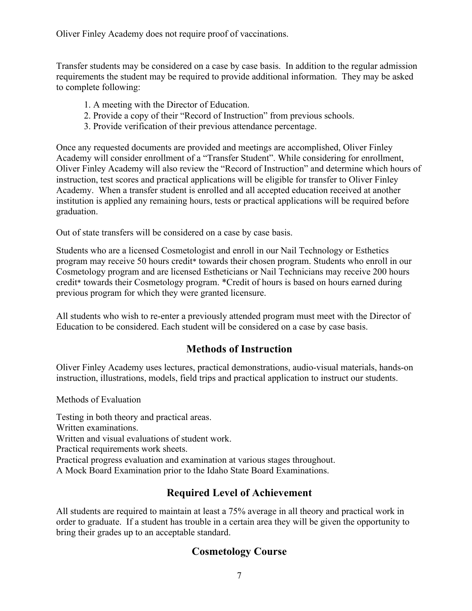Oliver Finley Academy does not require proof of vaccinations.

Transfer students may be considered on a case by case basis. In addition to the regular admission requirements the student may be required to provide additional information. They may be asked to complete following:

- 1. A meeting with the Director of Education.
- 2. Provide a copy of their "Record of Instruction" from previous schools.
- 3. Provide verification of their previous attendance percentage.

Once any requested documents are provided and meetings are accomplished, Oliver Finley Academy will consider enrollment of a "Transfer Student". While considering for enrollment, Oliver Finley Academy will also review the "Record of Instruction" and determine which hours of instruction, test scores and practical applications will be eligible for transfer to Oliver Finley Academy. When a transfer student is enrolled and all accepted education received at another institution is applied any remaining hours, tests or practical applications will be required before graduation.

Out of state transfers will be considered on a case by case basis.

Students who are a licensed Cosmetologist and enroll in our Nail Technology or Esthetics program may receive 50 hours credit\* towards their chosen program. Students who enroll in our Cosmetology program and are licensed Estheticians or Nail Technicians may receive 200 hours credit\* towards their Cosmetology program. \*Credit of hours is based on hours earned during previous program for which they were granted licensure.

All students who wish to re-enter a previously attended program must meet with the Director of Education to be considered. Each student will be considered on a case by case basis.

# **Methods of Instruction**

Oliver Finley Academy uses lectures, practical demonstrations, audio-visual materials, hands-on instruction, illustrations, models, field trips and practical application to instruct our students.

Methods of Evaluation

Testing in both theory and practical areas. Written examinations. Written and visual evaluations of student work. Practical requirements work sheets. Practical progress evaluation and examination at various stages throughout. A Mock Board Examination prior to the Idaho State Board Examinations.

# **Required Level of Achievement**

All students are required to maintain at least a 75% average in all theory and practical work in order to graduate. If a student has trouble in a certain area they will be given the opportunity to bring their grades up to an acceptable standard.

# **Cosmetology Course**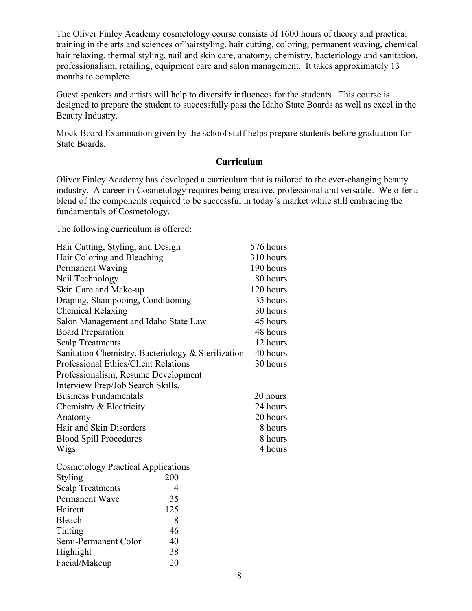The Oliver Finley Academy cosmetology course consists of 1600 hours of theory and practical training in the arts and sciences of hairstyling, hair cutting, coloring, permanent waving, chemical hair relaxing, thermal styling, nail and skin care, anatomy, chemistry, bacteriology and sanitation, professionalism, retailing, equipment care and salon management. It takes approximately 13 months to complete.

Guest speakers and artists will help to diversify influences for the students. This course is designed to prepare the student to successfully pass the Idaho State Boards as well as excel in the Beauty Industry.

Mock Board Examination given by the school staff helps prepare students before graduation for State Boards.

#### **Curriculum**

Oliver Finley Academy has developed a curriculum that is tailored to the ever-changing beauty industry. A career in Cosmetology requires being creative, professional and versatile. We offer a blend of the components required to be successful in today's market while still embracing the fundamentals of Cosmetology.

The following curriculum is offered:

| Hair Cutting, Styling, and Design                  | 576 hours |
|----------------------------------------------------|-----------|
| Hair Coloring and Bleaching                        | 310 hours |
| Permanent Waving                                   | 190 hours |
| Nail Technology                                    | 80 hours  |
| Skin Care and Make-up                              | 120 hours |
| Draping, Shampooing, Conditioning                  | 35 hours  |
| <b>Chemical Relaxing</b>                           | 30 hours  |
| Salon Management and Idaho State Law               | 45 hours  |
| <b>Board Preparation</b>                           | 48 hours  |
| <b>Scalp Treatments</b>                            | 12 hours  |
| Sanitation Chemistry, Bacteriology & Sterilization | 40 hours  |
| <b>Professional Ethics/Client Relations</b>        | 30 hours  |
| Professionalism, Resume Development                |           |
| Interview Prep/Job Search Skills,                  |           |
| <b>Business Fundamentals</b>                       | 20 hours  |
| Chemistry & Electricity                            | 24 hours  |
| Anatomy                                            | 20 hours  |
| Hair and Skin Disorders                            | 8 hours   |
| <b>Blood Spill Procedures</b>                      | 8 hours   |
| Wigs                                               | 4 hours   |
|                                                    |           |

| <b>Cosmetology Practical Applications</b> |     |  |
|-------------------------------------------|-----|--|
| Styling                                   | 200 |  |
| <b>Scalp Treatments</b>                   | 4   |  |
| Permanent Wave                            | 35  |  |
| Haircut                                   | 125 |  |
| Bleach                                    | 8   |  |
| Tinting                                   | 46  |  |
| Semi-Permanent Color                      | 40  |  |
| Highlight                                 | 38  |  |
| Facial/Makeup                             | 20  |  |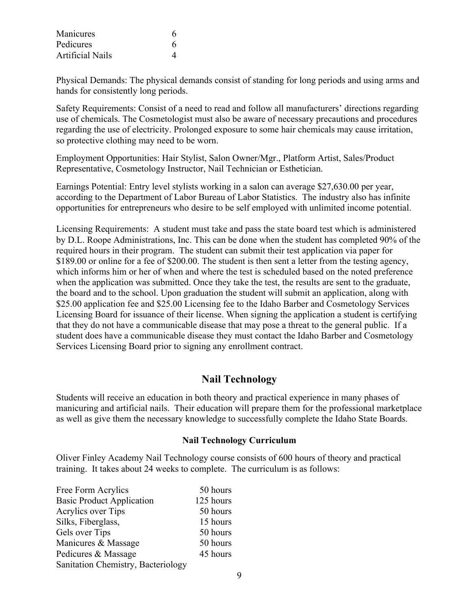| Manicures        | 6  |
|------------------|----|
| Pedicures        | 6. |
| Artificial Nails |    |

Physical Demands: The physical demands consist of standing for long periods and using arms and hands for consistently long periods.

Safety Requirements: Consist of a need to read and follow all manufacturers' directions regarding use of chemicals. The Cosmetologist must also be aware of necessary precautions and procedures regarding the use of electricity. Prolonged exposure to some hair chemicals may cause irritation, so protective clothing may need to be worn.

Employment Opportunities: Hair Stylist, Salon Owner/Mgr., Platform Artist, Sales/Product Representative, Cosmetology Instructor, Nail Technician or Esthetician.

Earnings Potential: Entry level stylists working in a salon can average \$27,630.00 per year, according to the Department of Labor Bureau of Labor Statistics. The industry also has infinite opportunities for entrepreneurs who desire to be self employed with unlimited income potential.

Licensing Requirements: A student must take and pass the state board test which is administered by D.L. Roope Administrations, Inc. This can be done when the student has completed 90% of the required hours in their program. The student can submit their test application via paper for \$189.00 or online for a fee of \$200.00. The student is then sent a letter from the testing agency, which informs him or her of when and where the test is scheduled based on the noted preference when the application was submitted. Once they take the test, the results are sent to the graduate, the board and to the school. Upon graduation the student will submit an application, along with \$25.00 application fee and \$25.00 Licensing fee to the Idaho Barber and Cosmetology Services Licensing Board for issuance of their license. When signing the application a student is certifying that they do not have a communicable disease that may pose a threat to the general public. If a student does have a communicable disease they must contact the Idaho Barber and Cosmetology Services Licensing Board prior to signing any enrollment contract.

# **Nail Technology**

Students will receive an education in both theory and practical experience in many phases of manicuring and artificial nails. Their education will prepare them for the professional marketplace as well as give them the necessary knowledge to successfully complete the Idaho State Boards.

#### **Nail Technology Curriculum**

Oliver Finley Academy Nail Technology course consists of 600 hours of theory and practical training. It takes about 24 weeks to complete. The curriculum is as follows:

| Free Form Acrylics                 | 50 hours  |
|------------------------------------|-----------|
| <b>Basic Product Application</b>   | 125 hours |
| Acrylics over Tips                 | 50 hours  |
| Silks, Fiberglass,                 | 15 hours  |
| Gels over Tips                     | 50 hours  |
| Manicures & Massage                | 50 hours  |
| Pedicures & Massage                | 45 hours  |
| Sanitation Chemistry, Bacteriology |           |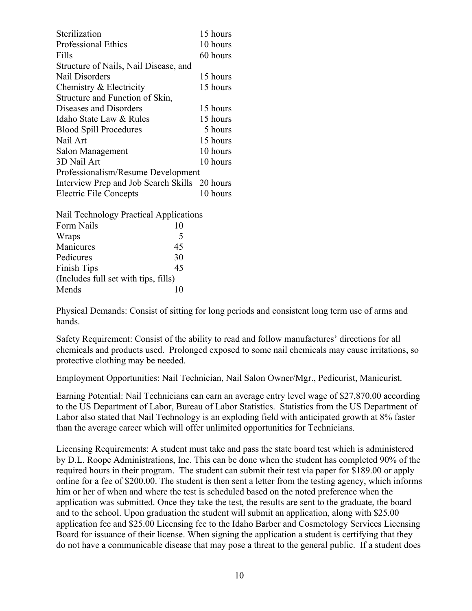| Sterilization                                 | 15 hours |  |
|-----------------------------------------------|----------|--|
| <b>Professional Ethics</b>                    | 10 hours |  |
| Fills                                         | 60 hours |  |
| Structure of Nails, Nail Disease, and         |          |  |
| Nail Disorders                                | 15 hours |  |
| Chemistry & Electricity                       | 15 hours |  |
| Structure and Function of Skin,               |          |  |
| Diseases and Disorders                        | 15 hours |  |
| Idaho State Law & Rules                       | 15 hours |  |
| <b>Blood Spill Procedures</b>                 | 5 hours  |  |
| Nail Art                                      | 15 hours |  |
| Salon Management                              | 10 hours |  |
| 3D Nail Art                                   | 10 hours |  |
| Professionalism/Resume Development            |          |  |
| Interview Prep and Job Search Skills 20 hours |          |  |
| <b>Electric File Concepts</b>                 | 10 hours |  |
| Nail Technology Practical Applications        |          |  |

| $1$ vall Technology Tractical Application |    |
|-------------------------------------------|----|
| Form Nails                                | 10 |
| Wraps                                     | 5  |
| Manicures                                 | 45 |
| Pedicures                                 | 30 |
| Finish Tips                               | 45 |
| (Includes full set with tips, fills)      |    |
| Mends                                     |    |
|                                           |    |

Physical Demands: Consist of sitting for long periods and consistent long term use of arms and hands.

Safety Requirement: Consist of the ability to read and follow manufactures' directions for all chemicals and products used. Prolonged exposed to some nail chemicals may cause irritations, so protective clothing may be needed.

Employment Opportunities: Nail Technician, Nail Salon Owner/Mgr., Pedicurist, Manicurist.

Earning Potential: Nail Technicians can earn an average entry level wage of \$27,870.00 according to the US Department of Labor, Bureau of Labor Statistics. Statistics from the US Department of Labor also stated that Nail Technology is an exploding field with anticipated growth at 8% faster than the average career which will offer unlimited opportunities for Technicians.

Licensing Requirements: A student must take and pass the state board test which is administered by D.L. Roope Administrations, Inc. This can be done when the student has completed 90% of the required hours in their program. The student can submit their test via paper for \$189.00 or apply online for a fee of \$200.00. The student is then sent a letter from the testing agency, which informs him or her of when and where the test is scheduled based on the noted preference when the application was submitted. Once they take the test, the results are sent to the graduate, the board and to the school. Upon graduation the student will submit an application, along with \$25.00 application fee and \$25.00 Licensing fee to the Idaho Barber and Cosmetology Services Licensing Board for issuance of their license. When signing the application a student is certifying that they do not have a communicable disease that may pose a threat to the general public. If a student does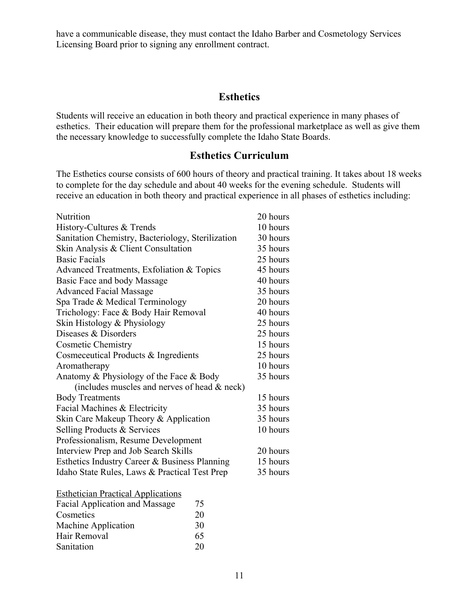have a communicable disease, they must contact the Idaho Barber and Cosmetology Services Licensing Board prior to signing any enrollment contract.

## **Esthetics**

Students will receive an education in both theory and practical experience in many phases of esthetics. Their education will prepare them for the professional marketplace as well as give them the necessary knowledge to successfully complete the Idaho State Boards.

# **Esthetics Curriculum**

The Esthetics course consists of 600 hours of theory and practical training. It takes about 18 weeks to complete for the day schedule and about 40 weeks for the evening schedule. Students will receive an education in both theory and practical experience in all phases of esthetics including:

| Nutrition                                         | 20 hours |
|---------------------------------------------------|----------|
| History-Cultures & Trends                         | 10 hours |
| Sanitation Chemistry, Bacteriology, Sterilization | 30 hours |
| Skin Analysis & Client Consultation               | 35 hours |
| <b>Basic Facials</b>                              | 25 hours |
| Advanced Treatments, Exfoliation & Topics         | 45 hours |
| Basic Face and body Massage                       | 40 hours |
| <b>Advanced Facial Massage</b>                    | 35 hours |
| Spa Trade & Medical Terminology                   | 20 hours |
| Trichology: Face & Body Hair Removal              | 40 hours |
| Skin Histology & Physiology                       | 25 hours |
| Diseases & Disorders                              | 25 hours |
| <b>Cosmetic Chemistry</b>                         | 15 hours |
| Cosmeceutical Products & Ingredients              | 25 hours |
| Aromatherapy                                      | 10 hours |
| Anatomy & Physiology of the Face & Body           | 35 hours |
| (includes muscles and nerves of head & neck)      |          |
| <b>Body Treatments</b>                            | 15 hours |
| Facial Machines & Electricity                     | 35 hours |
| Skin Care Makeup Theory & Application             | 35 hours |
| Selling Products & Services                       | 10 hours |
| Professionalism, Resume Development               |          |
| Interview Prep and Job Search Skills              | 20 hours |
| Esthetics Industry Career & Business Planning     | 15 hours |
| Idaho State Rules, Laws & Practical Test Prep     | 35 hours |
|                                                   |          |

| <b>Esthetician Practical Applications</b> |    |
|-------------------------------------------|----|
| Facial Application and Massage            | 75 |
| Cosmetics                                 | 20 |
| Machine Application                       | 30 |
| Hair Removal                              | 65 |
| Sanitation                                | 20 |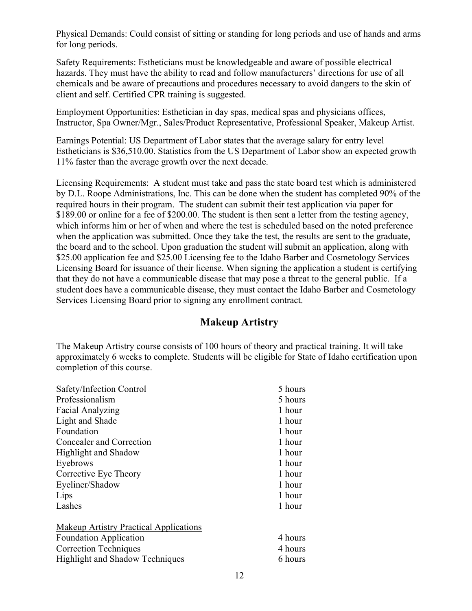Physical Demands: Could consist of sitting or standing for long periods and use of hands and arms for long periods.

Safety Requirements: Estheticians must be knowledgeable and aware of possible electrical hazards. They must have the ability to read and follow manufacturers' directions for use of all chemicals and be aware of precautions and procedures necessary to avoid dangers to the skin of client and self. Certified CPR training is suggested.

Employment Opportunities: Esthetician in day spas, medical spas and physicians offices, Instructor, Spa Owner/Mgr., Sales/Product Representative, Professional Speaker, Makeup Artist.

Earnings Potential: US Department of Labor states that the average salary for entry level Estheticians is \$36,510.00. Statistics from the US Department of Labor show an expected growth 11% faster than the average growth over the next decade.

Licensing Requirements: A student must take and pass the state board test which is administered by D.L. Roope Administrations, Inc. This can be done when the student has completed 90% of the required hours in their program. The student can submit their test application via paper for \$189.00 or online for a fee of \$200.00. The student is then sent a letter from the testing agency, which informs him or her of when and where the test is scheduled based on the noted preference when the application was submitted. Once they take the test, the results are sent to the graduate, the board and to the school. Upon graduation the student will submit an application, along with \$25.00 application fee and \$25.00 Licensing fee to the Idaho Barber and Cosmetology Services Licensing Board for issuance of their license. When signing the application a student is certifying that they do not have a communicable disease that may pose a threat to the general public. If a student does have a communicable disease, they must contact the Idaho Barber and Cosmetology Services Licensing Board prior to signing any enrollment contract.

## **Makeup Artistry**

The Makeup Artistry course consists of 100 hours of theory and practical training. It will take approximately 6 weeks to complete. Students will be eligible for State of Idaho certification upon completion of this course.

| Safety/Infection Control                                                                                                                                 | 5 hours                       |
|----------------------------------------------------------------------------------------------------------------------------------------------------------|-------------------------------|
| Professionalism                                                                                                                                          | 5 hours                       |
| Facial Analyzing                                                                                                                                         | 1 hour                        |
| Light and Shade                                                                                                                                          | 1 hour                        |
| Foundation                                                                                                                                               | 1 hour                        |
| Concealer and Correction                                                                                                                                 | 1 hour                        |
| <b>Highlight and Shadow</b>                                                                                                                              | 1 hour                        |
| Eyebrows                                                                                                                                                 | 1 hour                        |
| Corrective Eye Theory                                                                                                                                    | 1 hour                        |
| Eyeliner/Shadow                                                                                                                                          | 1 hour                        |
| Lips                                                                                                                                                     | 1 hour                        |
| Lashes                                                                                                                                                   | 1 hour                        |
| <b>Makeup Artistry Practical Applications</b><br><b>Foundation Application</b><br><b>Correction Techniques</b><br><b>Highlight and Shadow Techniques</b> | 4 hours<br>4 hours<br>6 hours |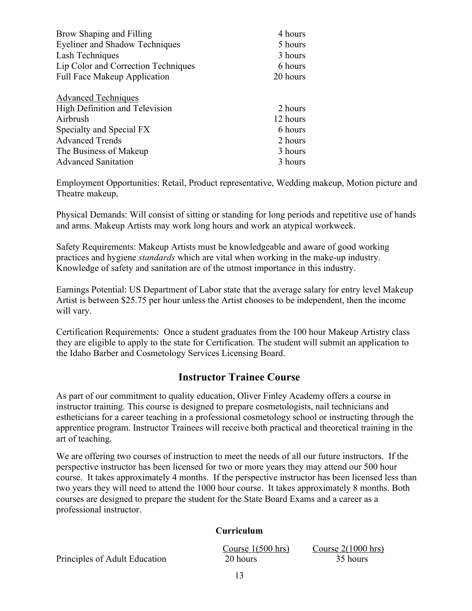| Brow Shaping and Filling              | 4 hours  |
|---------------------------------------|----------|
| <b>Eyeliner and Shadow Techniques</b> | 5 hours  |
| Lash Techniques                       | 3 hours  |
| Lip Color and Correction Techniques   | 6 hours  |
| Full Face Makeup Application          | 20 hours |
| <b>Advanced Techniques</b>            |          |
| High Definition and Television        | 2 hours  |
| Airbrush                              | 12 hours |
| Specialty and Special FX              | 6 hours  |
| <b>Advanced Trends</b>                | 2 hours  |
| The Business of Makeup                | 3 hours  |
| <b>Advanced Sanitation</b>            | 3 hours  |

Employment Opportunities: Retail, Product representative, Wedding makeup, Motion picture and Theatre makeup,

Physical Demands: Will consist of sitting or standing for long periods and repetitive use of hands and arms. Makeup Artists may work long hours and work an atypical workweek.

Safety Requirements: Makeup Artists must be knowledgeable and aware of good working practices and hygiene *standards* which are vital when working in the make-up industry. Knowledge of safety and sanitation are of the utmost importance in this industry.

Earnings Potential: US Department of Labor state that the average salary for entry level Makeup Artist is between \$25.75 per hour unless the Artist chooses to be independent, then the income will vary.

Certification Requirements: Once a student graduates from the 100 hour Makeup Artistry class they are eligible to apply to the state for Certification. The student will submit an application to the Idaho Barber and Cosmetology Services Licensing Board.

# **Instructor Trainee Course**

As part of our commitment to quality education, Oliver Finley Academy offers a course in instructor training. This course is designed to prepare cosmetologists, nail technicians and estheticians for a career teaching in a professional cosmetology school or instructing through the apprentice program. Instructor Trainees will receive both practical and theoretical training in the art of teaching.

We are offering two courses of instruction to meet the needs of all our future instructors. If the perspective instructor has been licensed for two or more years they may attend our 500 hour course. It takes approximately 4 months. If the perspective instructor has been licensed less than two years they will need to attend the 1000 hour course. It takes approximately 8 months. Both courses are designed to prepare the student for the State Board Exams and a career as a professional instructor.

#### **Curriculum**

|                               | Course $1(500 \text{ hrs})$ | Course $2(1000 \text{ hrs})$ |
|-------------------------------|-----------------------------|------------------------------|
| Principles of Adult Education | 20 hours                    | 35 hours                     |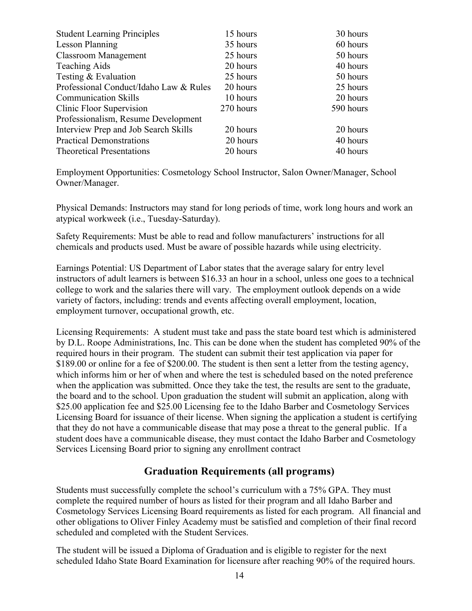| <b>Student Learning Principles</b>     | 15 hours  | 30 hours  |
|----------------------------------------|-----------|-----------|
| <b>Lesson Planning</b>                 | 35 hours  | 60 hours  |
| <b>Classroom Management</b>            | 25 hours  | 50 hours  |
| <b>Teaching Aids</b>                   | 20 hours  | 40 hours  |
| Testing & Evaluation                   | 25 hours  | 50 hours  |
| Professional Conduct/Idaho Law & Rules | 20 hours  | 25 hours  |
| <b>Communication Skills</b>            | 10 hours  | 20 hours  |
| Clinic Floor Supervision               | 270 hours | 590 hours |
| Professionalism, Resume Development    |           |           |
| Interview Prep and Job Search Skills   | 20 hours  | 20 hours  |
| <b>Practical Demonstrations</b>        | 20 hours  | 40 hours  |
| <b>Theoretical Presentations</b>       | 20 hours  | 40 hours  |

Employment Opportunities: Cosmetology School Instructor, Salon Owner/Manager, School Owner/Manager.

Physical Demands: Instructors may stand for long periods of time, work long hours and work an atypical workweek (i.e., Tuesday-Saturday).

Safety Requirements: Must be able to read and follow manufacturers' instructions for all chemicals and products used. Must be aware of possible hazards while using electricity.

Earnings Potential: US Department of Labor states that the average salary for entry level instructors of adult learners is between \$16.33 an hour in a school, unless one goes to a technical college to work and the salaries there will vary. The employment outlook depends on a wide variety of factors, including: trends and events affecting overall employment, location, employment turnover, occupational growth, etc.

Licensing Requirements: A student must take and pass the state board test which is administered by D.L. Roope Administrations, Inc. This can be done when the student has completed 90% of the required hours in their program. The student can submit their test application via paper for \$189.00 or online for a fee of \$200.00. The student is then sent a letter from the testing agency, which informs him or her of when and where the test is scheduled based on the noted preference when the application was submitted. Once they take the test, the results are sent to the graduate, the board and to the school. Upon graduation the student will submit an application, along with \$25.00 application fee and \$25.00 Licensing fee to the Idaho Barber and Cosmetology Services Licensing Board for issuance of their license. When signing the application a student is certifying that they do not have a communicable disease that may pose a threat to the general public. If a student does have a communicable disease, they must contact the Idaho Barber and Cosmetology Services Licensing Board prior to signing any enrollment contract

# **Graduation Requirements (all programs)**

Students must successfully complete the school's curriculum with a 75% GPA. They must complete the required number of hours as listed for their program and all Idaho Barber and Cosmetology Services Licensing Board requirements as listed for each program. All financial and other obligations to Oliver Finley Academy must be satisfied and completion of their final record scheduled and completed with the Student Services.

The student will be issued a Diploma of Graduation and is eligible to register for the next scheduled Idaho State Board Examination for licensure after reaching 90% of the required hours.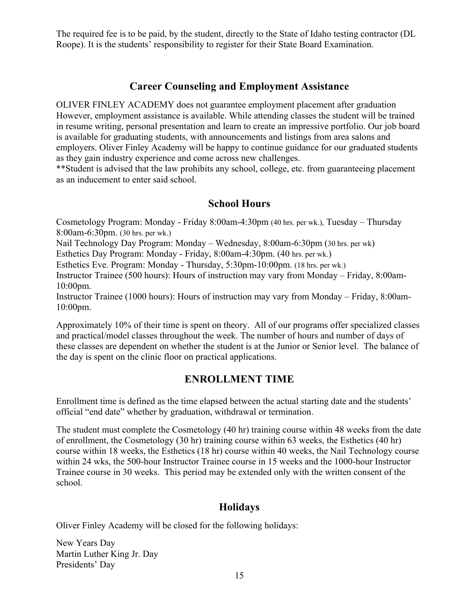The required fee is to be paid, by the student, directly to the State of Idaho testing contractor (DL Roope). It is the students' responsibility to register for their State Board Examination.

## **Career Counseling and Employment Assistance**

OLIVER FINLEY ACADEMY does not guarantee employment placement after graduation However, employment assistance is available. While attending classes the student will be trained in resume writing, personal presentation and learn to create an impressive portfolio. Our job board is available for graduating students, with announcements and listings from area salons and employers. Oliver Finley Academy will be happy to continue guidance for our graduated students as they gain industry experience and come across new challenges.

\*\*Student is advised that the law prohibits any school, college, etc. from guaranteeing placement as an inducement to enter said school.

## **School Hours**

Cosmetology Program: Monday - Friday 8:00am-4:30pm (40 hrs. per wk.), Tuesday – Thursday 8:00am-6:30pm. (30 hrs. per wk.)

Nail Technology Day Program: Monday – Wednesday, 8:00am-6:30pm (30 hrs. per wk)

Esthetics Day Program: Monday - Friday, 8:00am-4:30pm. (40 hrs. per wk.)

Esthetics Eve. Program: Monday - Thursday, 5:30pm-10:00pm. (18 hrs. per wk.)

Instructor Trainee (500 hours): Hours of instruction may vary from Monday – Friday, 8:00am-10:00pm.

Instructor Trainee (1000 hours): Hours of instruction may vary from Monday – Friday, 8:00am-10:00pm.

Approximately 10% of their time is spent on theory. All of our programs offer specialized classes and practical/model classes throughout the week. The number of hours and number of days of these classes are dependent on whether the student is at the Junior or Senior level. The balance of the day is spent on the clinic floor on practical applications.

# **ENROLLMENT TIME**

Enrollment time is defined as the time elapsed between the actual starting date and the students' official "end date" whether by graduation, withdrawal or termination.

The student must complete the Cosmetology (40 hr) training course within 48 weeks from the date of enrollment, the Cosmetology (30 hr) training course within 63 weeks, the Esthetics (40 hr) course within 18 weeks, the Esthetics (18 hr) course within 40 weeks, the Nail Technology course within 24 wks, the 500-hour Instructor Trainee course in 15 weeks and the 1000-hour Instructor Trainee course in 30 weeks. This period may be extended only with the written consent of the school.

## **Holidays**

Oliver Finley Academy will be closed for the following holidays:

New Years Day Martin Luther King Jr. Day Presidents' Day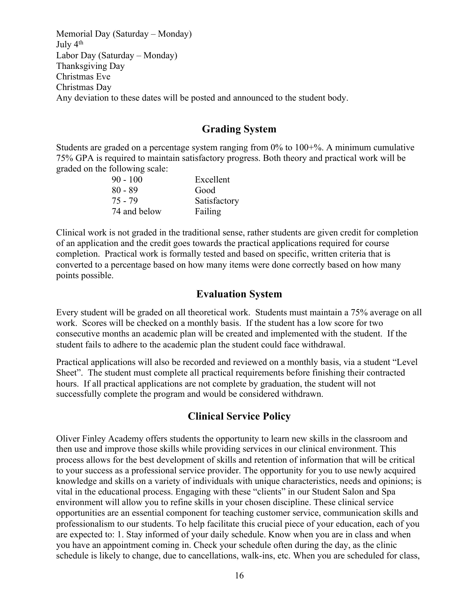Memorial Day (Saturday – Monday) July 4th Labor Day (Saturday – Monday) Thanksgiving Day Christmas Eve Christmas Day Any deviation to these dates will be posted and announced to the student body.

# **Grading System**

Students are graded on a percentage system ranging from 0% to 100+%. A minimum cumulative 75% GPA is required to maintain satisfactory progress. Both theory and practical work will be graded on the following scale:

| $90 - 100$   | Excellent    |
|--------------|--------------|
| 80 - 89      | Good         |
| $75 - 79$    | Satisfactory |
| 74 and below | Failing      |

Clinical work is not graded in the traditional sense, rather students are given credit for completion of an application and the credit goes towards the practical applications required for course completion. Practical work is formally tested and based on specific, written criteria that is converted to a percentage based on how many items were done correctly based on how many points possible.

## **Evaluation System**

Every student will be graded on all theoretical work. Students must maintain a 75% average on all work. Scores will be checked on a monthly basis. If the student has a low score for two consecutive months an academic plan will be created and implemented with the student. If the student fails to adhere to the academic plan the student could face withdrawal.

Practical applications will also be recorded and reviewed on a monthly basis, via a student "Level Sheet". The student must complete all practical requirements before finishing their contracted hours. If all practical applications are not complete by graduation, the student will not successfully complete the program and would be considered withdrawn.

## **Clinical Service Policy**

Oliver Finley Academy offers students the opportunity to learn new skills in the classroom and then use and improve those skills while providing services in our clinical environment. This process allows for the best development of skills and retention of information that will be critical to your success as a professional service provider. The opportunity for you to use newly acquired knowledge and skills on a variety of individuals with unique characteristics, needs and opinions; is vital in the educational process. Engaging with these "clients" in our Student Salon and Spa environment will allow you to refine skills in your chosen discipline. These clinical service opportunities are an essential component for teaching customer service, communication skills and professionalism to our students. To help facilitate this crucial piece of your education, each of you are expected to: 1. Stay informed of your daily schedule. Know when you are in class and when you have an appointment coming in. Check your schedule often during the day, as the clinic schedule is likely to change, due to cancellations, walk-ins, etc. When you are scheduled for class,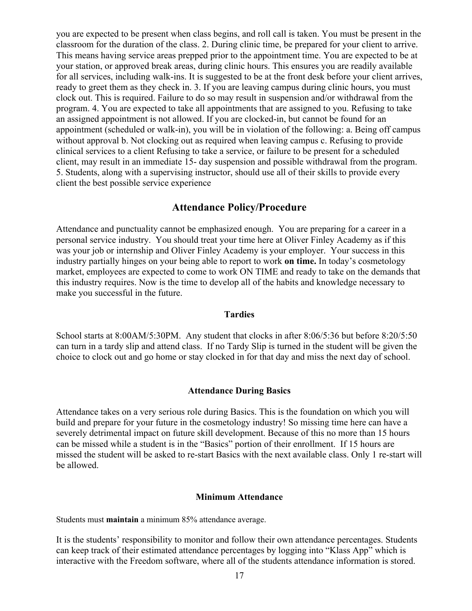you are expected to be present when class begins, and roll call is taken. You must be present in the classroom for the duration of the class. 2. During clinic time, be prepared for your client to arrive. This means having service areas prepped prior to the appointment time. You are expected to be at your station, or approved break areas, during clinic hours. This ensures you are readily available for all services, including walk-ins. It is suggested to be at the front desk before your client arrives, ready to greet them as they check in. 3. If you are leaving campus during clinic hours, you must clock out. This is required. Failure to do so may result in suspension and/or withdrawal from the program. 4. You are expected to take all appointments that are assigned to you. Refusing to take an assigned appointment is not allowed. If you are clocked-in, but cannot be found for an appointment (scheduled or walk-in), you will be in violation of the following: a. Being off campus without approval b. Not clocking out as required when leaving campus c. Refusing to provide clinical services to a client Refusing to take a service, or failure to be present for a scheduled client, may result in an immediate 15- day suspension and possible withdrawal from the program. 5. Students, along with a supervising instructor, should use all of their skills to provide every client the best possible service experience

## **Attendance Policy/Procedure**

Attendance and punctuality cannot be emphasized enough. You are preparing for a career in a personal service industry. You should treat your time here at Oliver Finley Academy as if this was your job or internship and Oliver Finley Academy is your employer. Your success in this industry partially hinges on your being able to report to work **on time.** In today's cosmetology market, employees are expected to come to work ON TIME and ready to take on the demands that this industry requires. Now is the time to develop all of the habits and knowledge necessary to make you successful in the future.

#### **Tardies**

School starts at 8:00AM/5:30PM. Any student that clocks in after 8:06/5:36 but before 8:20/5:50 can turn in a tardy slip and attend class. If no Tardy Slip is turned in the student will be given the choice to clock out and go home or stay clocked in for that day and miss the next day of school.

#### **Attendance During Basics**

Attendance takes on a very serious role during Basics. This is the foundation on which you will build and prepare for your future in the cosmetology industry! So missing time here can have a severely detrimental impact on future skill development. Because of this no more than 15 hours can be missed while a student is in the "Basics" portion of their enrollment. If 15 hours are missed the student will be asked to re-start Basics with the next available class. Only 1 re-start will be allowed.

#### **Minimum Attendance**

Students must **maintain** a minimum 85% attendance average.

It is the students' responsibility to monitor and follow their own attendance percentages. Students can keep track of their estimated attendance percentages by logging into "Klass App" which is interactive with the Freedom software, where all of the students attendance information is stored.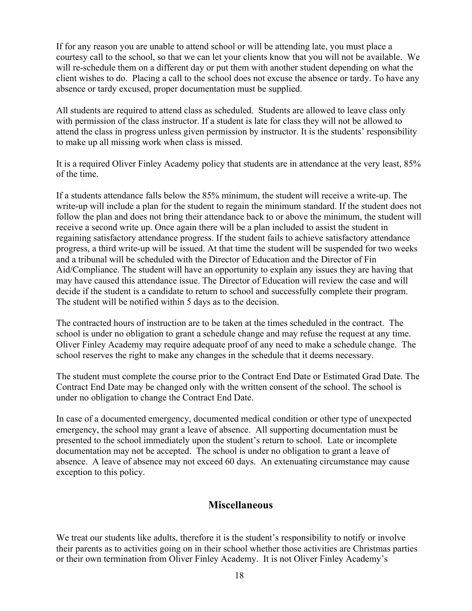If for any reason you are unable to attend school or will be attending late, you must place a courtesy call to the school, so that we can let your clients know that you will not be available. We will re-schedule them on a different day or put them with another student depending on what the client wishes to do. Placing a call to the school does not excuse the absence or tardy. To have any absence or tardy excused, proper documentation must be supplied.

All students are required to attend class as scheduled. Students are allowed to leave class only with permission of the class instructor. If a student is late for class they will not be allowed to attend the class in progress unless given permission by instructor. It is the students' responsibility to make up all missing work when class is missed.

It is a required Oliver Finley Academy policy that students are in attendance at the very least, 85% of the time.

If a students attendance falls below the 85% minimum, the student will receive a write-up. The write-up will include a plan for the student to regain the minimum standard. If the student does not follow the plan and does not bring their attendance back to or above the minimum, the student will receive a second write up. Once again there will be a plan included to assist the student in regaining satisfactory attendance progress. If the student fails to achieve satisfactory attendance progress, a third write-up will be issued. At that time the student will be suspended for two weeks and a tribunal will be scheduled with the Director of Education and the Director of Fin Aid/Compliance. The student will have an opportunity to explain any issues they are having that may have caused this attendance issue. The Director of Education will review the case and will decide if the student is a candidate to return to school and successfully complete their program. The student will be notified within 5 days as to the decision.

The contracted hours of instruction are to be taken at the times scheduled in the contract. The school is under no obligation to grant a schedule change and may refuse the request at any time. Oliver Finley Academy may require adequate proof of any need to make a schedule change. The school reserves the right to make any changes in the schedule that it deems necessary.

The student must complete the course prior to the Contract End Date or Estimated Grad Date. The Contract End Date may be changed only with the written consent of the school. The school is under no obligation to change the Contract End Date.

In case of a documented emergency, documented medical condition or other type of unexpected emergency, the school may grant a leave of absence. All supporting documentation must be presented to the school immediately upon the student's return to school. Late or incomplete documentation may not be accepted. The school is under no obligation to grant a leave of absence. A leave of absence may not exceed 60 days. An extenuating circumstance may cause exception to this policy.

## **Miscellaneous**

We treat our students like adults, therefore it is the student's responsibility to notify or involve their parents as to activities going on in their school whether those activities are Christmas parties or their own termination from Oliver Finley Academy. It is not Oliver Finley Academy's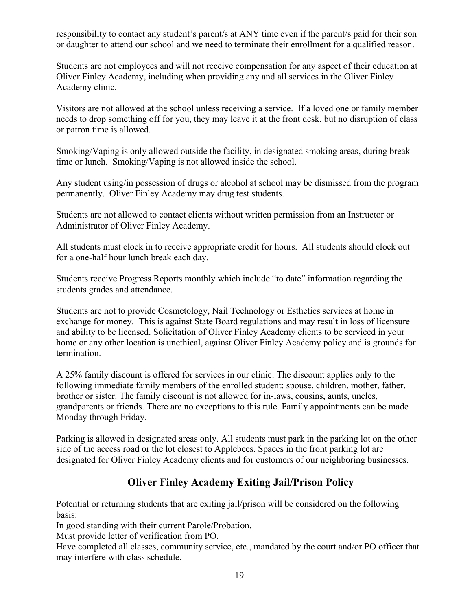responsibility to contact any student's parent/s at ANY time even if the parent/s paid for their son or daughter to attend our school and we need to terminate their enrollment for a qualified reason.

Students are not employees and will not receive compensation for any aspect of their education at Oliver Finley Academy, including when providing any and all services in the Oliver Finley Academy clinic.

Visitors are not allowed at the school unless receiving a service. If a loved one or family member needs to drop something off for you, they may leave it at the front desk, but no disruption of class or patron time is allowed.

Smoking/Vaping is only allowed outside the facility, in designated smoking areas, during break time or lunch. Smoking/Vaping is not allowed inside the school.

Any student using/in possession of drugs or alcohol at school may be dismissed from the program permanently. Oliver Finley Academy may drug test students.

Students are not allowed to contact clients without written permission from an Instructor or Administrator of Oliver Finley Academy.

All students must clock in to receive appropriate credit for hours. All students should clock out for a one-half hour lunch break each day.

Students receive Progress Reports monthly which include "to date" information regarding the students grades and attendance.

Students are not to provide Cosmetology, Nail Technology or Esthetics services at home in exchange for money. This is against State Board regulations and may result in loss of licensure and ability to be licensed. Solicitation of Oliver Finley Academy clients to be serviced in your home or any other location is unethical, against Oliver Finley Academy policy and is grounds for termination.

A 25% family discount is offered for services in our clinic. The discount applies only to the following immediate family members of the enrolled student: spouse, children, mother, father, brother or sister. The family discount is not allowed for in-laws, cousins, aunts, uncles, grandparents or friends. There are no exceptions to this rule. Family appointments can be made Monday through Friday.

Parking is allowed in designated areas only. All students must park in the parking lot on the other side of the access road or the lot closest to Applebees. Spaces in the front parking lot are designated for Oliver Finley Academy clients and for customers of our neighboring businesses.

# **Oliver Finley Academy Exiting Jail/Prison Policy**

Potential or returning students that are exiting jail/prison will be considered on the following basis:

In good standing with their current Parole/Probation.

Must provide letter of verification from PO.

Have completed all classes, community service, etc., mandated by the court and/or PO officer that may interfere with class schedule.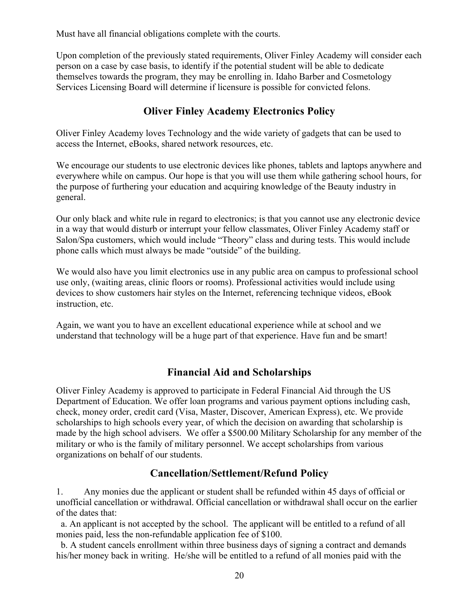Must have all financial obligations complete with the courts.

Upon completion of the previously stated requirements, Oliver Finley Academy will consider each person on a case by case basis, to identify if the potential student will be able to dedicate themselves towards the program, they may be enrolling in. Idaho Barber and Cosmetology Services Licensing Board will determine if licensure is possible for convicted felons.

# **Oliver Finley Academy Electronics Policy**

Oliver Finley Academy loves Technology and the wide variety of gadgets that can be used to access the Internet, eBooks, shared network resources, etc.

We encourage our students to use electronic devices like phones, tablets and laptops anywhere and everywhere while on campus. Our hope is that you will use them while gathering school hours, for the purpose of furthering your education and acquiring knowledge of the Beauty industry in general.

Our only black and white rule in regard to electronics; is that you cannot use any electronic device in a way that would disturb or interrupt your fellow classmates, Oliver Finley Academy staff or Salon/Spa customers, which would include "Theory" class and during tests. This would include phone calls which must always be made "outside" of the building.

We would also have you limit electronics use in any public area on campus to professional school use only, (waiting areas, clinic floors or rooms). Professional activities would include using devices to show customers hair styles on the Internet, referencing technique videos, eBook instruction, etc.

Again, we want you to have an excellent educational experience while at school and we understand that technology will be a huge part of that experience. Have fun and be smart!

# **Financial Aid and Scholarships**

Oliver Finley Academy is approved to participate in Federal Financial Aid through the US Department of Education. We offer loan programs and various payment options including cash, check, money order, credit card (Visa, Master, Discover, American Express), etc. We provide scholarships to high schools every year, of which the decision on awarding that scholarship is made by the high school advisers. We offer a \$500.00 Military Scholarship for any member of the military or who is the family of military personnel. We accept scholarships from various organizations on behalf of our students.

## **Cancellation/Settlement/Refund Policy**

1. Any monies due the applicant or student shall be refunded within 45 days of official or unofficial cancellation or withdrawal. Official cancellation or withdrawal shall occur on the earlier of the dates that:

 a. An applicant is not accepted by the school. The applicant will be entitled to a refund of all monies paid, less the non-refundable application fee of \$100.

 b. A student cancels enrollment within three business days of signing a contract and demands his/her money back in writing. He/she will be entitled to a refund of all monies paid with the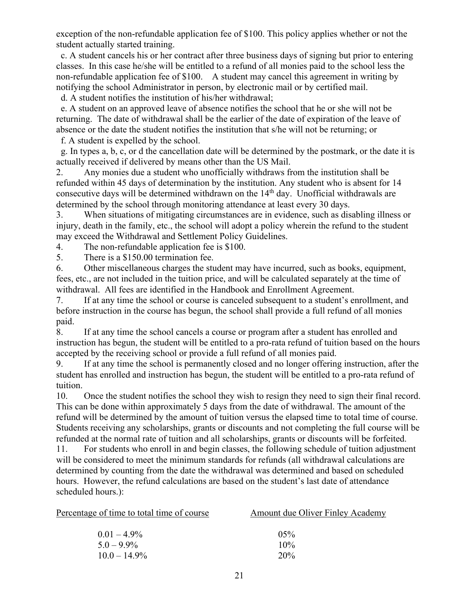exception of the non-refundable application fee of \$100. This policy applies whether or not the student actually started training.

 c. A student cancels his or her contract after three business days of signing but prior to entering classes. In this case he/she will be entitled to a refund of all monies paid to the school less the non-refundable application fee of \$100. A student may cancel this agreement in writing by notifying the school Administrator in person, by electronic mail or by certified mail.

d. A student notifies the institution of his/her withdrawal;

 e. A student on an approved leave of absence notifies the school that he or she will not be returning. The date of withdrawal shall be the earlier of the date of expiration of the leave of absence or the date the student notifies the institution that s/he will not be returning; or

f. A student is expelled by the school.

 g. In types a, b, c, or d the cancellation date will be determined by the postmark, or the date it is actually received if delivered by means other than the US Mail.

2. Any monies due a student who unofficially withdraws from the institution shall be refunded within 45 days of determination by the institution. Any student who is absent for 14 consecutive days will be determined withdrawn on the 14<sup>th</sup> day. Unofficial withdrawals are determined by the school through monitoring attendance at least every 30 days.

3. When situations of mitigating circumstances are in evidence, such as disabling illness or injury, death in the family, etc., the school will adopt a policy wherein the refund to the student may exceed the Withdrawal and Settlement Policy Guidelines.

4. The non-refundable application fee is \$100.

5. There is a \$150.00 termination fee.

6. Other miscellaneous charges the student may have incurred, such as books, equipment, fees, etc., are not included in the tuition price, and will be calculated separately at the time of withdrawal. All fees are identified in the Handbook and Enrollment Agreement.

7. If at any time the school or course is canceled subsequent to a student's enrollment, and before instruction in the course has begun, the school shall provide a full refund of all monies paid.

8. If at any time the school cancels a course or program after a student has enrolled and instruction has begun, the student will be entitled to a pro-rata refund of tuition based on the hours accepted by the receiving school or provide a full refund of all monies paid.

9. If at any time the school is permanently closed and no longer offering instruction, after the student has enrolled and instruction has begun, the student will be entitled to a pro-rata refund of tuition.

10. Once the student notifies the school they wish to resign they need to sign their final record. This can be done within approximately 5 days from the date of withdrawal. The amount of the refund will be determined by the amount of tuition versus the elapsed time to total time of course. Students receiving any scholarships, grants or discounts and not completing the full course will be refunded at the normal rate of tuition and all scholarships, grants or discounts will be forfeited.

11. For students who enroll in and begin classes, the following schedule of tuition adjustment will be considered to meet the minimum standards for refunds (all withdrawal calculations are determined by counting from the date the withdrawal was determined and based on scheduled hours. However, the refund calculations are based on the student's last date of attendance scheduled hours.):

| <u>Percentage of time to total time of course</u> | <b>Amount due Oliver Finley Academy</b> |
|---------------------------------------------------|-----------------------------------------|
| $0.01 - 4.9\%$                                    | $05\%$                                  |
| $5.0 - 9.9\%$                                     | 10%                                     |
| $10.0 - 14.9\%$                                   | 20%                                     |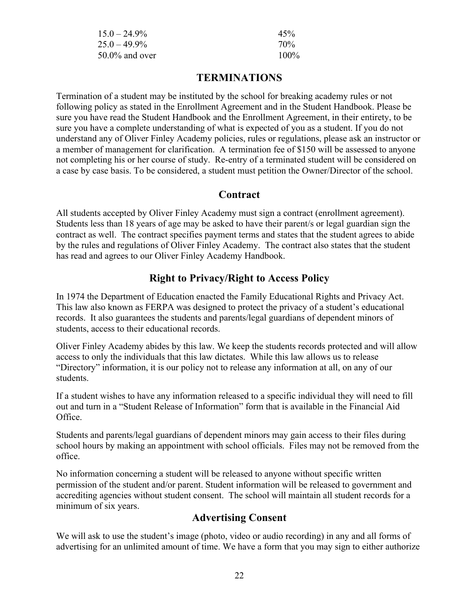| $15.0 - 24.9\%$   | 45%     |
|-------------------|---------|
| $25.0 - 49.9\%$   | 70%     |
| $50.0\%$ and over | $100\%$ |

# **TERMINATIONS**

Termination of a student may be instituted by the school for breaking academy rules or not following policy as stated in the Enrollment Agreement and in the Student Handbook. Please be sure you have read the Student Handbook and the Enrollment Agreement, in their entirety, to be sure you have a complete understanding of what is expected of you as a student. If you do not understand any of Oliver Finley Academy policies, rules or regulations, please ask an instructor or a member of management for clarification. A termination fee of \$150 will be assessed to anyone not completing his or her course of study. Re-entry of a terminated student will be considered on a case by case basis. To be considered, a student must petition the Owner/Director of the school.

## **Contract**

All students accepted by Oliver Finley Academy must sign a contract (enrollment agreement). Students less than 18 years of age may be asked to have their parent/s or legal guardian sign the contract as well. The contract specifies payment terms and states that the student agrees to abide by the rules and regulations of Oliver Finley Academy. The contract also states that the student has read and agrees to our Oliver Finley Academy Handbook.

# **Right to Privacy/Right to Access Policy**

In 1974 the Department of Education enacted the Family Educational Rights and Privacy Act. This law also known as FERPA was designed to protect the privacy of a student's educational records. It also guarantees the students and parents/legal guardians of dependent minors of students, access to their educational records.

Oliver Finley Academy abides by this law. We keep the students records protected and will allow access to only the individuals that this law dictates. While this law allows us to release "Directory" information, it is our policy not to release any information at all, on any of our students.

If a student wishes to have any information released to a specific individual they will need to fill out and turn in a "Student Release of Information" form that is available in the Financial Aid Office.

Students and parents/legal guardians of dependent minors may gain access to their files during school hours by making an appointment with school officials. Files may not be removed from the office.

No information concerning a student will be released to anyone without specific written permission of the student and/or parent. Student information will be released to government and accrediting agencies without student consent. The school will maintain all student records for a minimum of six years.

# **Advertising Consent**

We will ask to use the student's image (photo, video or audio recording) in any and all forms of advertising for an unlimited amount of time. We have a form that you may sign to either authorize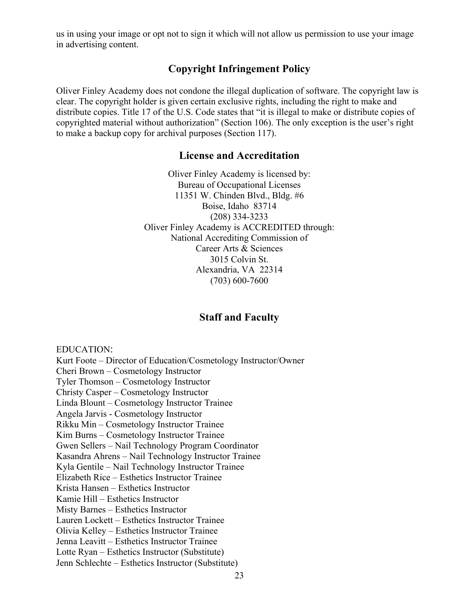us in using your image or opt not to sign it which will not allow us permission to use your image in advertising content.

# **Copyright Infringement Policy**

Oliver Finley Academy does not condone the illegal duplication of software. The copyright law is clear. The copyright holder is given certain exclusive rights, including the right to make and distribute copies. Title 17 of the U.S. Code states that "it is illegal to make or distribute copies of copyrighted material without authorization" (Section 106). The only exception is the user's right to make a backup copy for archival purposes (Section 117).

#### **License and Accreditation**

Oliver Finley Academy is licensed by: Bureau of Occupational Licenses 11351 W. Chinden Blvd., Bldg. #6 Boise, Idaho 83714 (208) 334-3233 Oliver Finley Academy is ACCREDITED through: National Accrediting Commission of Career Arts & Sciences 3015 Colvin St. Alexandria, VA 22314 (703) 600-7600

# **Staff and Faculty**

EDUCATION:

Kurt Foote – Director of Education/Cosmetology Instructor/Owner Cheri Brown – Cosmetology Instructor Tyler Thomson – Cosmetology Instructor Christy Casper – Cosmetology Instructor Linda Blount – Cosmetology Instructor Trainee Angela Jarvis - Cosmetology Instructor Rikku Min – Cosmetology Instructor Trainee Kim Burns – Cosmetology Instructor Trainee Gwen Sellers – Nail Technology Program Coordinator Kasandra Ahrens – Nail Technology Instructor Trainee Kyla Gentile – Nail Technology Instructor Trainee Elizabeth Rice – Esthetics Instructor Trainee Krista Hansen – Esthetics Instructor Kamie Hill – Esthetics Instructor Misty Barnes – Esthetics Instructor Lauren Lockett – Esthetics Instructor Trainee Olivia Kelley – Esthetics Instructor Trainee Jenna Leavitt – Esthetics Instructor Trainee Lotte Ryan – Esthetics Instructor (Substitute) Jenn Schlechte – Esthetics Instructor (Substitute)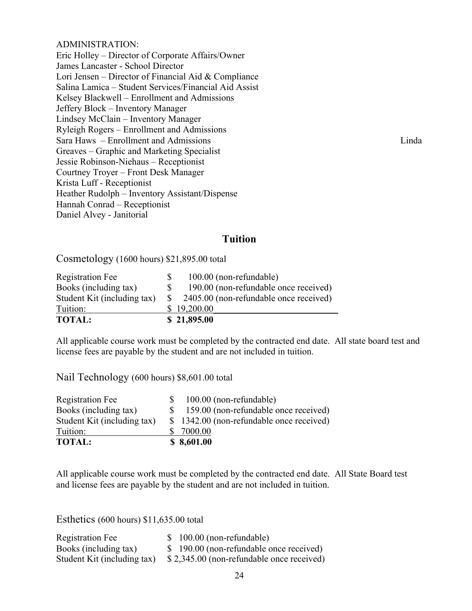#### ADMINISTRATION:

Eric Holley – Director of Corporate Affairs/Owner James Lancaster - School Director Lori Jensen – Director of Financial Aid & Compliance Salina Lamica – Student Services/Financial Aid Assist Kelsey Blackwell – Enrollment and Admissions Jeffery Block – Inventory Manager Lindsey McClain – Inventory Manager Ryleigh Rogers – Enrollment and Admissions Sara Haws – Enrollment and Admissions Linda Greaves – Graphic and Marketing Specialist Jessie Robinson-Niehaus – Receptionist Courtney Troyer – Front Desk Manager Krista Luff - Receptionist Heather Rudolph – Inventory Assistant/Dispense Hannah Conrad – Receptionist Daniel Alvey - Janitorial

## **Tuition**

Cosmetology (1600 hours) \$21,895.00 total

| Registration Fee            |    | 100.00 (non-refundable)                |
|-----------------------------|----|----------------------------------------|
| Books (including tax)       |    | 190.00 (non-refundable once received)  |
| Student Kit (including tax) | S. | 2405.00 (non-refundable once received) |
| Tuition:                    |    | \$19,200.00                            |
| <b>TOTAL:</b>               |    | \$21,895.00                            |

All applicable course work must be completed by the contracted end date. All state board test and license fees are payable by the student and are not included in tuition.

Nail Technology (600 hours) \$8,601.00 total

| Registration Fee            | 100.00 (non-refundable)                  |
|-----------------------------|------------------------------------------|
| Books (including tax)       | 159.00 (non-refundable once received)    |
| Student Kit (including tax) | \$1342.00 (non-refundable once received) |
| Tuition:                    | \$ 7000.00                               |
| <b>TOTAL:</b>               | \$8,601.00                               |

All applicable course work must be completed by the contracted end date. All State Board test and license fees are payable by the student and are not included in tuition.

Esthetics (600 hours) \$11,635.00 total

| Registration Fee            | $$100.00$ (non-refundable)                |
|-----------------------------|-------------------------------------------|
| Books (including tax)       | \$ 190.00 (non-refundable once received)  |
| Student Kit (including tax) | \$2,345.00 (non-refundable once received) |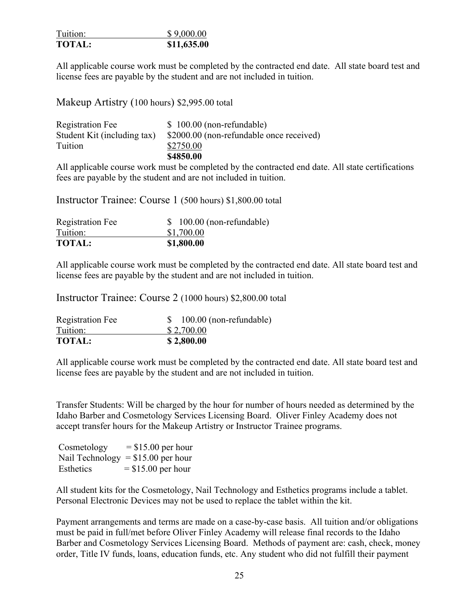| Tuition:      | \$9,000.00  |
|---------------|-------------|
| <b>TOTAL:</b> | \$11,635.00 |

All applicable course work must be completed by the contracted end date. All state board test and license fees are payable by the student and are not included in tuition.

Makeup Artistry (100 hours) \$2,995.00 total

| Registration Fee            | $$100.00$ (non-refundable)               |
|-----------------------------|------------------------------------------|
| Student Kit (including tax) | \$2000.00 (non-refundable once received) |
| Tuition                     | \$2750.00                                |
|                             | \$4850.00                                |

All applicable course work must be completed by the contracted end date. All state certifications fees are payable by the student and are not included in tuition.

Instructor Trainee: Course 1 (500 hours) \$1,800.00 total

| Registration Fee | $$100.00$ (non-refundable) |
|------------------|----------------------------|
| Tuition:         | \$1,700.00                 |
| <b>TOTAL:</b>    | \$1,800.00                 |

All applicable course work must be completed by the contracted end date. All state board test and license fees are payable by the student and are not included in tuition.

Instructor Trainee: Course 2 (1000 hours) \$2,800.00 total

| Registration Fee | 100.00 (non-refundable) |
|------------------|-------------------------|
| Tuition:         | \$2,700.00              |
| <b>TOTAL:</b>    | \$2,800.00              |

All applicable course work must be completed by the contracted end date. All state board test and license fees are payable by the student and are not included in tuition.

Transfer Students: Will be charged by the hour for number of hours needed as determined by the Idaho Barber and Cosmetology Services Licensing Board. Oliver Finley Academy does not accept transfer hours for the Makeup Artistry or Instructor Trainee programs.

| Cosmetology | $=$ \$15.00 per hour                |
|-------------|-------------------------------------|
|             | Nail Technology = $$15.00$ per hour |
| Esthetics   | $=$ \$15.00 per hour                |

All student kits for the Cosmetology, Nail Technology and Esthetics programs include a tablet. Personal Electronic Devices may not be used to replace the tablet within the kit.

Payment arrangements and terms are made on a case-by-case basis. All tuition and/or obligations must be paid in full/met before Oliver Finley Academy will release final records to the Idaho Barber and Cosmetology Services Licensing Board. Methods of payment are: cash, check, money order, Title IV funds, loans, education funds, etc. Any student who did not fulfill their payment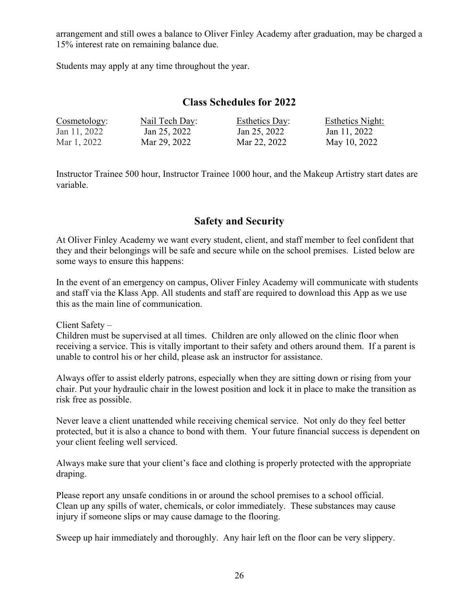arrangement and still owes a balance to Oliver Finley Academy after graduation, may be charged a 15% interest rate on remaining balance due.

Students may apply at any time throughout the year.

## **Class Schedules for 2022**

| Cosmetology: | Nail Tech Day: | <b>Esthetics Day:</b> | <b>Esthetics Night:</b> |
|--------------|----------------|-----------------------|-------------------------|
| Jan 11, 2022 | Jan 25, 2022   | Jan 25, 2022          | Jan 11, 2022            |
| Mar 1, 2022  | Mar 29, 2022   | Mar 22, 2022          | May 10, 2022            |

Instructor Trainee 500 hour, Instructor Trainee 1000 hour, and the Makeup Artistry start dates are variable.

# **Safety and Security**

At Oliver Finley Academy we want every student, client, and staff member to feel confident that they and their belongings will be safe and secure while on the school premises. Listed below are some ways to ensure this happens:

In the event of an emergency on campus, Oliver Finley Academy will communicate with students and staff via the Klass App. All students and staff are required to download this App as we use this as the main line of communication.

Client Safety –

Children must be supervised at all times. Children are only allowed on the clinic floor when receiving a service. This is vitally important to their safety and others around them. If a parent is unable to control his or her child, please ask an instructor for assistance.

Always offer to assist elderly patrons, especially when they are sitting down or rising from your chair. Put your hydraulic chair in the lowest position and lock it in place to make the transition as risk free as possible.

Never leave a client unattended while receiving chemical service. Not only do they feel better protected, but it is also a chance to bond with them. Your future financial success is dependent on your client feeling well serviced.

Always make sure that your client's face and clothing is properly protected with the appropriate draping.

Please report any unsafe conditions in or around the school premises to a school official. Clean up any spills of water, chemicals, or color immediately. These substances may cause injury if someone slips or may cause damage to the flooring.

Sweep up hair immediately and thoroughly. Any hair left on the floor can be very slippery.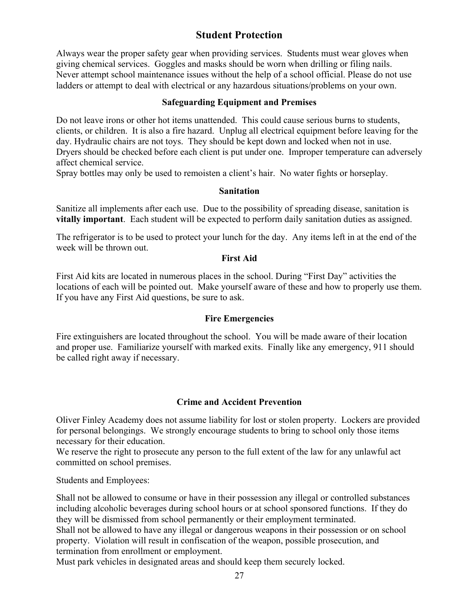# **Student Protection**

Always wear the proper safety gear when providing services. Students must wear gloves when giving chemical services. Goggles and masks should be worn when drilling or filing nails. Never attempt school maintenance issues without the help of a school official. Please do not use ladders or attempt to deal with electrical or any hazardous situations/problems on your own.

#### **Safeguarding Equipment and Premises**

Do not leave irons or other hot items unattended. This could cause serious burns to students, clients, or children. It is also a fire hazard. Unplug all electrical equipment before leaving for the day. Hydraulic chairs are not toys. They should be kept down and locked when not in use. Dryers should be checked before each client is put under one. Improper temperature can adversely affect chemical service.

Spray bottles may only be used to remoisten a client's hair. No water fights or horseplay.

#### **Sanitation**

Sanitize all implements after each use. Due to the possibility of spreading disease, sanitation is **vitally important**. Each student will be expected to perform daily sanitation duties as assigned.

The refrigerator is to be used to protect your lunch for the day. Any items left in at the end of the week will be thrown out.

#### **First Aid**

First Aid kits are located in numerous places in the school. During "First Day" activities the locations of each will be pointed out. Make yourself aware of these and how to properly use them. If you have any First Aid questions, be sure to ask.

#### **Fire Emergencies**

Fire extinguishers are located throughout the school. You will be made aware of their location and proper use. Familiarize yourself with marked exits. Finally like any emergency, 911 should be called right away if necessary.

#### **Crime and Accident Prevention**

Oliver Finley Academy does not assume liability for lost or stolen property. Lockers are provided for personal belongings. We strongly encourage students to bring to school only those items necessary for their education.

We reserve the right to prosecute any person to the full extent of the law for any unlawful act committed on school premises.

Students and Employees:

Shall not be allowed to consume or have in their possession any illegal or controlled substances including alcoholic beverages during school hours or at school sponsored functions. If they do they will be dismissed from school permanently or their employment terminated. Shall not be allowed to have any illegal or dangerous weapons in their possession or on school

property. Violation will result in confiscation of the weapon, possible prosecution, and termination from enrollment or employment.

Must park vehicles in designated areas and should keep them securely locked.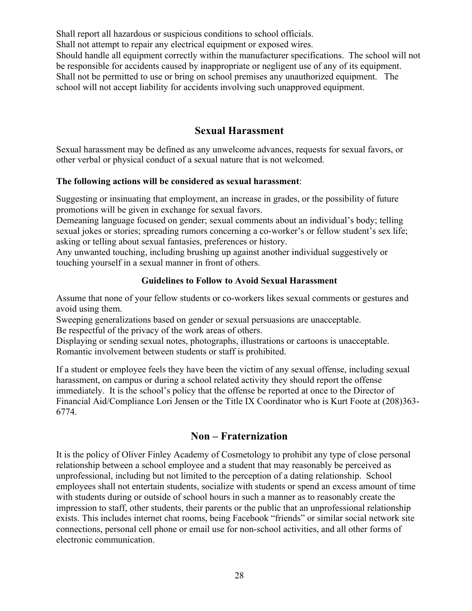Shall report all hazardous or suspicious conditions to school officials. Shall not attempt to repair any electrical equipment or exposed wires. Should handle all equipment correctly within the manufacturer specifications. The school will not be responsible for accidents caused by inappropriate or negligent use of any of its equipment. Shall not be permitted to use or bring on school premises any unauthorized equipment. The school will not accept liability for accidents involving such unapproved equipment.

# **Sexual Harassment**

Sexual harassment may be defined as any unwelcome advances, requests for sexual favors, or other verbal or physical conduct of a sexual nature that is not welcomed.

#### **The following actions will be considered as sexual harassment**:

Suggesting or insinuating that employment, an increase in grades, or the possibility of future promotions will be given in exchange for sexual favors.

Demeaning language focused on gender; sexual comments about an individual's body; telling sexual jokes or stories; spreading rumors concerning a co-worker's or fellow student's sex life; asking or telling about sexual fantasies, preferences or history.

Any unwanted touching, including brushing up against another individual suggestively or touching yourself in a sexual manner in front of others.

#### **Guidelines to Follow to Avoid Sexual Harassment**

Assume that none of your fellow students or co-workers likes sexual comments or gestures and avoid using them.

Sweeping generalizations based on gender or sexual persuasions are unacceptable.

Be respectful of the privacy of the work areas of others.

Displaying or sending sexual notes, photographs, illustrations or cartoons is unacceptable. Romantic involvement between students or staff is prohibited.

If a student or employee feels they have been the victim of any sexual offense, including sexual harassment, on campus or during a school related activity they should report the offense immediately. It is the school's policy that the offense be reported at once to the Director of Financial Aid/Compliance Lori Jensen or the Title IX Coordinator who is Kurt Foote at (208)363- 6774.

# **Non – Fraternization**

It is the policy of Oliver Finley Academy of Cosmetology to prohibit any type of close personal relationship between a school employee and a student that may reasonably be perceived as unprofessional, including but not limited to the perception of a dating relationship. School employees shall not entertain students, socialize with students or spend an excess amount of time with students during or outside of school hours in such a manner as to reasonably create the impression to staff, other students, their parents or the public that an unprofessional relationship exists. This includes internet chat rooms, being Facebook "friends" or similar social network site connections, personal cell phone or email use for non-school activities, and all other forms of electronic communication.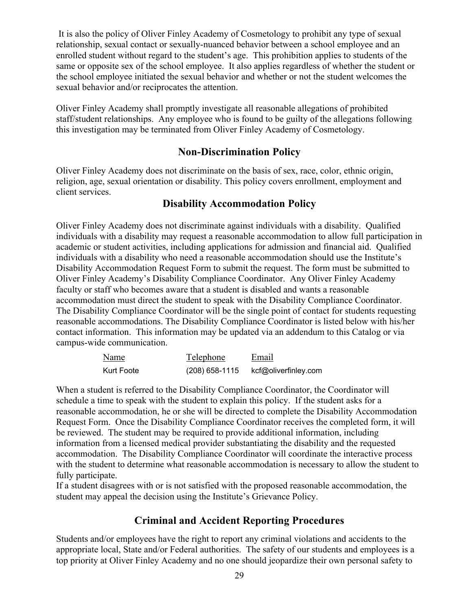It is also the policy of Oliver Finley Academy of Cosmetology to prohibit any type of sexual relationship, sexual contact or sexually-nuanced behavior between a school employee and an enrolled student without regard to the student's age. This prohibition applies to students of the same or opposite sex of the school employee. It also applies regardless of whether the student or the school employee initiated the sexual behavior and whether or not the student welcomes the sexual behavior and/or reciprocates the attention.

Oliver Finley Academy shall promptly investigate all reasonable allegations of prohibited staff/student relationships. Any employee who is found to be guilty of the allegations following this investigation may be terminated from Oliver Finley Academy of Cosmetology.

# **Non-Discrimination Policy**

Oliver Finley Academy does not discriminate on the basis of sex, race, color, ethnic origin, religion, age, sexual orientation or disability. This policy covers enrollment, employment and client services.

## **Disability Accommodation Policy**

Oliver Finley Academy does not discriminate against individuals with a disability. Qualified individuals with a disability may request a reasonable accommodation to allow full participation in academic or student activities, including applications for admission and financial aid. Qualified individuals with a disability who need a reasonable accommodation should use the Institute's Disability Accommodation Request Form to submit the request. The form must be submitted to Oliver Finley Academy's Disability Compliance Coordinator. Any Oliver Finley Academy faculty or staff who becomes aware that a student is disabled and wants a reasonable accommodation must direct the student to speak with the Disability Compliance Coordinator. The Disability Compliance Coordinator will be the single point of contact for students requesting reasonable accommodations. The Disability Compliance Coordinator is listed below with his/her contact information. This information may be updated via an addendum to this Catalog or via campus-wide communication.

| Name       | Telephone        | Email                |
|------------|------------------|----------------------|
| Kurt Foote | $(208)$ 658-1115 | kcf@oliverfinley.com |

When a student is referred to the Disability Compliance Coordinator, the Coordinator will schedule a time to speak with the student to explain this policy. If the student asks for a reasonable accommodation, he or she will be directed to complete the Disability Accommodation Request Form. Once the Disability Compliance Coordinator receives the completed form, it will be reviewed. The student may be required to provide additional information, including information from a licensed medical provider substantiating the disability and the requested accommodation. The Disability Compliance Coordinator will coordinate the interactive process with the student to determine what reasonable accommodation is necessary to allow the student to fully participate.

If a student disagrees with or is not satisfied with the proposed reasonable accommodation, the student may appeal the decision using the Institute's Grievance Policy.

# **Criminal and Accident Reporting Procedures**

Students and/or employees have the right to report any criminal violations and accidents to the appropriate local, State and/or Federal authorities. The safety of our students and employees is a top priority at Oliver Finley Academy and no one should jeopardize their own personal safety to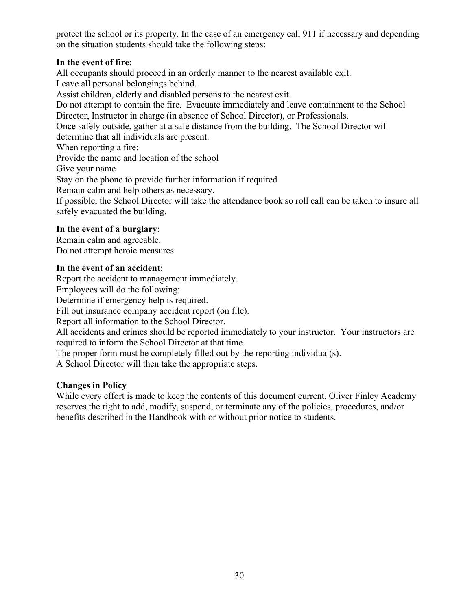protect the school or its property. In the case of an emergency call 911 if necessary and depending on the situation students should take the following steps:

#### **In the event of fire**:

All occupants should proceed in an orderly manner to the nearest available exit. Leave all personal belongings behind. Assist children, elderly and disabled persons to the nearest exit. Do not attempt to contain the fire. Evacuate immediately and leave containment to the School Director, Instructor in charge (in absence of School Director), or Professionals. Once safely outside, gather at a safe distance from the building. The School Director will determine that all individuals are present. When reporting a fire: Provide the name and location of the school Give your name Stay on the phone to provide further information if required Remain calm and help others as necessary. If possible, the School Director will take the attendance book so roll call can be taken to insure all safely evacuated the building.

#### **In the event of a burglary**:

Remain calm and agreeable. Do not attempt heroic measures.

#### **In the event of an accident**:

Report the accident to management immediately.

Employees will do the following:

Determine if emergency help is required.

Fill out insurance company accident report (on file).

Report all information to the School Director.

All accidents and crimes should be reported immediately to your instructor. Your instructors are required to inform the School Director at that time.

The proper form must be completely filled out by the reporting individual(s).

A School Director will then take the appropriate steps.

#### **Changes in Policy**

While every effort is made to keep the contents of this document current, Oliver Finley Academy reserves the right to add, modify, suspend, or terminate any of the policies, procedures, and/or benefits described in the Handbook with or without prior notice to students.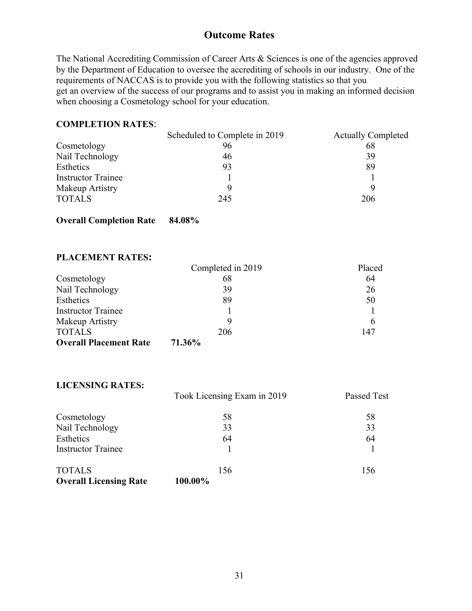# **Outcome Rates**

The National Accrediting Commission of Career Arts & Sciences is one of the agencies approved by the Department of Education to oversee the accrediting of schools in our industry. One of the requirements of NACCAS is to provide you with the following statistics so that you get an overview of the success of our programs and to assist you in making an informed decision when choosing a Cosmetology school for your education.

#### **COMPLETION RATES**:

|                           | Scheduled to Complete in 2019 | <b>Actually Completed</b> |
|---------------------------|-------------------------------|---------------------------|
| Cosmetology               | 96                            | 68                        |
| Nail Technology           | 46                            | 39                        |
| Esthetics                 | 93                            | 89                        |
| <b>Instructor Trainee</b> |                               |                           |
| Makeup Artistry           |                               |                           |
| <b>TOTALS</b>             | 245                           | 206                       |

#### **Overall Completion Rate 84.08%**

#### **PLACEMENT RATES:**

|                               | Completed in 2019 | Placed |
|-------------------------------|-------------------|--------|
| Cosmetology                   | 68                | 64     |
| Nail Technology               | 39                | 26     |
| Esthetics                     | 89                | 50     |
| <b>Instructor Trainee</b>     |                   |        |
| Makeup Artistry               |                   | 6      |
| <b>TOTALS</b>                 | 206               | 147    |
| <b>Overall Placement Rate</b> | 71.36%            |        |

#### **LICENSING RATES:**

|                               | Took Licensing Exam in 2019 | <b>Passed Test</b> |
|-------------------------------|-----------------------------|--------------------|
| Cosmetology                   | 58                          | 58                 |
| Nail Technology               | 33                          | 33                 |
| Esthetics                     | 64                          | 64                 |
| <b>Instructor Trainee</b>     |                             |                    |
| <b>TOTALS</b>                 | 156                         | 156                |
| <b>Overall Licensing Rate</b> | 100.00%                     |                    |